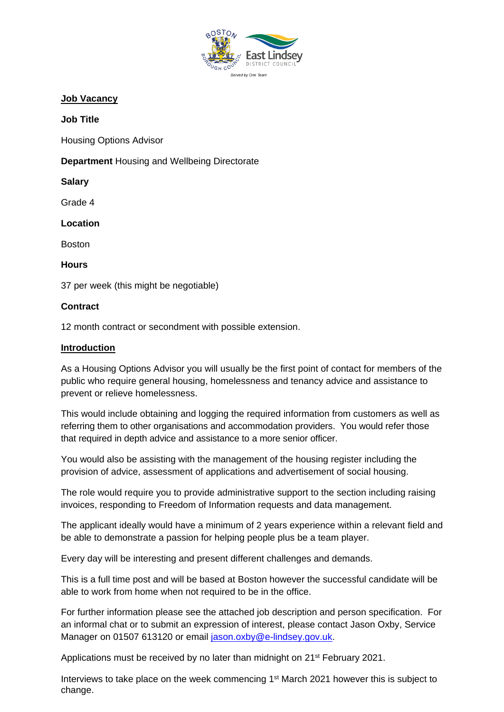

## **Job Vacancy**

#### **Job Title**

Housing Options Advisor

**Department** Housing and Wellbeing Directorate

**Salary** 

Grade 4

**Location** 

Boston

**Hours**

37 per week (this might be negotiable)

### **Contract**

12 month contract or secondment with possible extension.

#### **Introduction**

As a Housing Options Advisor you will usually be the first point of contact for members of the public who require general housing, homelessness and tenancy advice and assistance to prevent or relieve homelessness.

This would include obtaining and logging the required information from customers as well as referring them to other organisations and accommodation providers. You would refer those that required in depth advice and assistance to a more senior officer.

You would also be assisting with the management of the housing register including the provision of advice, assessment of applications and advertisement of social housing.

The role would require you to provide administrative support to the section including raising invoices, responding to Freedom of Information requests and data management.

The applicant ideally would have a minimum of 2 years experience within a relevant field and be able to demonstrate a passion for helping people plus be a team player.

Every day will be interesting and present different challenges and demands.

This is a full time post and will be based at Boston however the successful candidate will be able to work from home when not required to be in the office.

For further information please see the attached job description and person specification. For an informal chat or to submit an expression of interest, please contact Jason Oxby, Service Manager on 01507 613120 or email [jason.oxby@e-lindsey.gov.uk.](mailto:jason.oxby@e-lindsey.gov.uk)

Applications must be received by no later than midnight on 21<sup>st</sup> February 2021.

Interviews to take place on the week commencing 1<sup>st</sup> March 2021 however this is subject to change.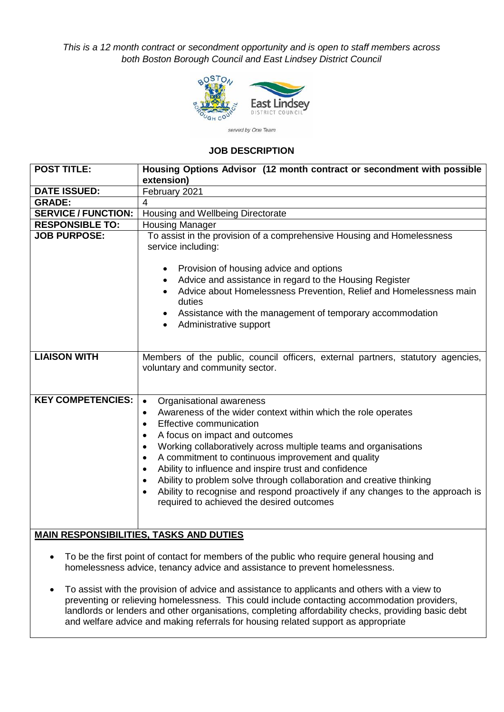*This is a 12 month contract or secondment opportunity and is open to staff members across both Boston Borough Council and East Lindsey District Council*



#### **JOB DESCRIPTION**

| <b>POST TITLE:</b>                             | Housing Options Advisor (12 month contract or secondment with possible<br>extension)                                                                                      |  |  |  |  |
|------------------------------------------------|---------------------------------------------------------------------------------------------------------------------------------------------------------------------------|--|--|--|--|
| <b>DATE ISSUED:</b>                            | February 2021                                                                                                                                                             |  |  |  |  |
| <b>GRADE:</b>                                  | 4                                                                                                                                                                         |  |  |  |  |
|                                                |                                                                                                                                                                           |  |  |  |  |
| <b>SERVICE / FUNCTION:</b>                     | Housing and Wellbeing Directorate                                                                                                                                         |  |  |  |  |
| <b>RESPONSIBLE TO:</b>                         | <b>Housing Manager</b>                                                                                                                                                    |  |  |  |  |
| <b>JOB PURPOSE:</b>                            | To assist in the provision of a comprehensive Housing and Homelessness<br>service including:                                                                              |  |  |  |  |
|                                                | Provision of housing advice and options<br>$\bullet$                                                                                                                      |  |  |  |  |
|                                                | Advice and assistance in regard to the Housing Register<br>$\bullet$                                                                                                      |  |  |  |  |
|                                                | Advice about Homelessness Prevention, Relief and Homelessness main                                                                                                        |  |  |  |  |
|                                                | duties                                                                                                                                                                    |  |  |  |  |
|                                                | Assistance with the management of temporary accommodation<br>Administrative support<br>$\bullet$                                                                          |  |  |  |  |
|                                                |                                                                                                                                                                           |  |  |  |  |
|                                                |                                                                                                                                                                           |  |  |  |  |
| <b>LIAISON WITH</b>                            | Members of the public, council officers, external partners, statutory agencies,<br>voluntary and community sector.                                                        |  |  |  |  |
|                                                |                                                                                                                                                                           |  |  |  |  |
| <b>KEY COMPETENCIES:</b>                       | Organisational awareness<br>$\bullet$                                                                                                                                     |  |  |  |  |
|                                                | Awareness of the wider context within which the role operates<br>$\bullet$                                                                                                |  |  |  |  |
|                                                | Effective communication                                                                                                                                                   |  |  |  |  |
|                                                | A focus on impact and outcomes                                                                                                                                            |  |  |  |  |
|                                                |                                                                                                                                                                           |  |  |  |  |
|                                                | Working collaboratively across multiple teams and organisations                                                                                                           |  |  |  |  |
|                                                | A commitment to continuous improvement and quality                                                                                                                        |  |  |  |  |
|                                                | Ability to influence and inspire trust and confidence                                                                                                                     |  |  |  |  |
|                                                | Ability to problem solve through collaboration and creative thinking                                                                                                      |  |  |  |  |
|                                                | Ability to recognise and respond proactively if any changes to the approach is                                                                                            |  |  |  |  |
|                                                | required to achieved the desired outcomes                                                                                                                                 |  |  |  |  |
|                                                |                                                                                                                                                                           |  |  |  |  |
|                                                |                                                                                                                                                                           |  |  |  |  |
| <b>MAIN RESPONSIBILITIES, TASKS AND DUTIES</b> |                                                                                                                                                                           |  |  |  |  |
|                                                |                                                                                                                                                                           |  |  |  |  |
| $\bullet$                                      | To be the first point of contact for members of the public who require general housing and<br>homelessness advice, tenancy advice and assistance to prevent homelessness. |  |  |  |  |
|                                                | To assist with the provision of advice and assistance to applicants and others with a view to                                                                             |  |  |  |  |

preventing or relieving homelessness. This could include contacting accommodation providers, landlords or lenders and other organisations, completing affordability checks, providing basic debt and welfare advice and making referrals for housing related support as appropriate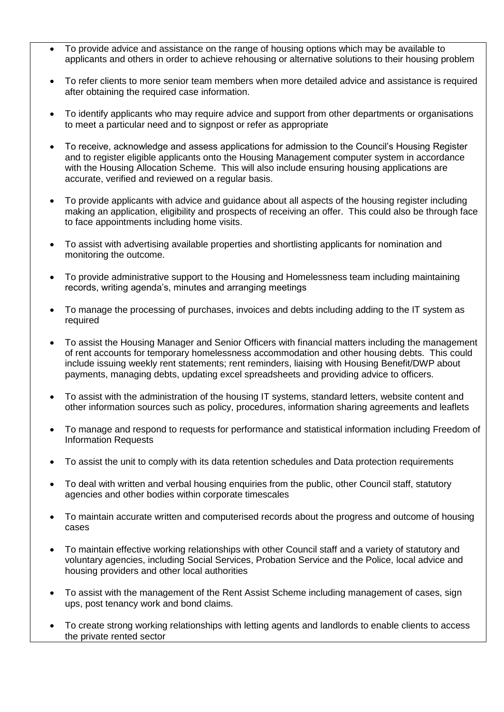- To provide advice and assistance on the range of housing options which may be available to applicants and others in order to achieve rehousing or alternative solutions to their housing problem
- To refer clients to more senior team members when more detailed advice and assistance is required after obtaining the required case information.
- To identify applicants who may require advice and support from other departments or organisations to meet a particular need and to signpost or refer as appropriate
- To receive, acknowledge and assess applications for admission to the Council's Housing Register and to register eligible applicants onto the Housing Management computer system in accordance with the Housing Allocation Scheme. This will also include ensuring housing applications are accurate, verified and reviewed on a regular basis.
- To provide applicants with advice and guidance about all aspects of the housing register including making an application, eligibility and prospects of receiving an offer. This could also be through face to face appointments including home visits.
- To assist with advertising available properties and shortlisting applicants for nomination and monitoring the outcome.
- To provide administrative support to the Housing and Homelessness team including maintaining records, writing agenda's, minutes and arranging meetings
- To manage the processing of purchases, invoices and debts including adding to the IT system as required
- To assist the Housing Manager and Senior Officers with financial matters including the management of rent accounts for temporary homelessness accommodation and other housing debts. This could include issuing weekly rent statements; rent reminders, liaising with Housing Benefit/DWP about payments, managing debts, updating excel spreadsheets and providing advice to officers.
- To assist with the administration of the housing IT systems, standard letters, website content and other information sources such as policy, procedures, information sharing agreements and leaflets
- To manage and respond to requests for performance and statistical information including Freedom of Information Requests
- To assist the unit to comply with its data retention schedules and Data protection requirements
- To deal with written and verbal housing enquiries from the public, other Council staff, statutory agencies and other bodies within corporate timescales
- To maintain accurate written and computerised records about the progress and outcome of housing cases
- To maintain effective working relationships with other Council staff and a variety of statutory and voluntary agencies, including Social Services, Probation Service and the Police, local advice and housing providers and other local authorities
- To assist with the management of the Rent Assist Scheme including management of cases, sign ups, post tenancy work and bond claims.
- To create strong working relationships with letting agents and landlords to enable clients to access the private rented sector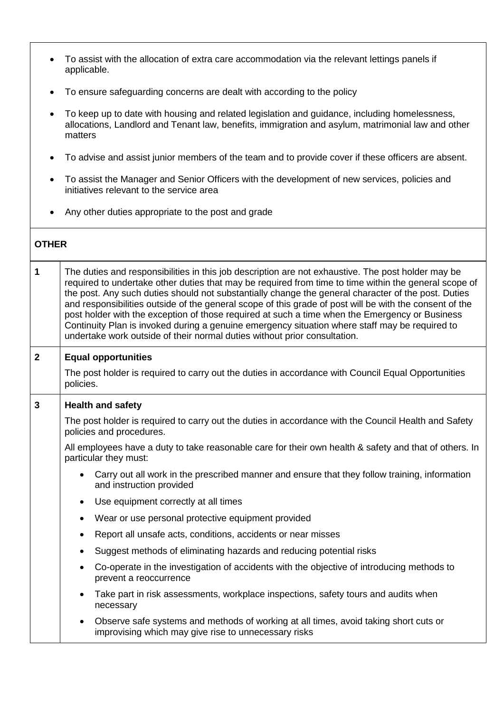- To assist with the allocation of extra care accommodation via the relevant lettings panels if applicable.
- To ensure safeguarding concerns are dealt with according to the policy
- To keep up to date with housing and related legislation and guidance, including homelessness, allocations, Landlord and Tenant law, benefits, immigration and asylum, matrimonial law and other matters
- To advise and assist junior members of the team and to provide cover if these officers are absent.
- To assist the Manager and Senior Officers with the development of new services, policies and initiatives relevant to the service area
- Any other duties appropriate to the post and grade

| <b>OTHER</b>   |                                                                                                                                                                                                                                                                                                                                                                                                                                                                                                                                                                                                                                                                                                                |  |  |  |  |
|----------------|----------------------------------------------------------------------------------------------------------------------------------------------------------------------------------------------------------------------------------------------------------------------------------------------------------------------------------------------------------------------------------------------------------------------------------------------------------------------------------------------------------------------------------------------------------------------------------------------------------------------------------------------------------------------------------------------------------------|--|--|--|--|
| 1              | The duties and responsibilities in this job description are not exhaustive. The post holder may be<br>required to undertake other duties that may be required from time to time within the general scope of<br>the post. Any such duties should not substantially change the general character of the post. Duties<br>and responsibilities outside of the general scope of this grade of post will be with the consent of the<br>post holder with the exception of those required at such a time when the Emergency or Business<br>Continuity Plan is invoked during a genuine emergency situation where staff may be required to<br>undertake work outside of their normal duties without prior consultation. |  |  |  |  |
| $\overline{2}$ | <b>Equal opportunities</b>                                                                                                                                                                                                                                                                                                                                                                                                                                                                                                                                                                                                                                                                                     |  |  |  |  |
|                | The post holder is required to carry out the duties in accordance with Council Equal Opportunities<br>policies.                                                                                                                                                                                                                                                                                                                                                                                                                                                                                                                                                                                                |  |  |  |  |
| 3              | <b>Health and safety</b>                                                                                                                                                                                                                                                                                                                                                                                                                                                                                                                                                                                                                                                                                       |  |  |  |  |
|                | The post holder is required to carry out the duties in accordance with the Council Health and Safety<br>policies and procedures.                                                                                                                                                                                                                                                                                                                                                                                                                                                                                                                                                                               |  |  |  |  |
|                | All employees have a duty to take reasonable care for their own health & safety and that of others. In<br>particular they must:                                                                                                                                                                                                                                                                                                                                                                                                                                                                                                                                                                                |  |  |  |  |
|                | Carry out all work in the prescribed manner and ensure that they follow training, information<br>$\bullet$<br>and instruction provided                                                                                                                                                                                                                                                                                                                                                                                                                                                                                                                                                                         |  |  |  |  |
|                | Use equipment correctly at all times<br>$\bullet$                                                                                                                                                                                                                                                                                                                                                                                                                                                                                                                                                                                                                                                              |  |  |  |  |
|                | Wear or use personal protective equipment provided<br>$\bullet$                                                                                                                                                                                                                                                                                                                                                                                                                                                                                                                                                                                                                                                |  |  |  |  |
|                | Report all unsafe acts, conditions, accidents or near misses<br>$\bullet$                                                                                                                                                                                                                                                                                                                                                                                                                                                                                                                                                                                                                                      |  |  |  |  |
|                | Suggest methods of eliminating hazards and reducing potential risks<br>$\bullet$                                                                                                                                                                                                                                                                                                                                                                                                                                                                                                                                                                                                                               |  |  |  |  |
|                | Co-operate in the investigation of accidents with the objective of introducing methods to<br>$\bullet$<br>prevent a reoccurrence                                                                                                                                                                                                                                                                                                                                                                                                                                                                                                                                                                               |  |  |  |  |
|                | Take part in risk assessments, workplace inspections, safety tours and audits when<br>$\bullet$<br>necessary                                                                                                                                                                                                                                                                                                                                                                                                                                                                                                                                                                                                   |  |  |  |  |
|                | Observe safe systems and methods of working at all times, avoid taking short cuts or<br>$\bullet$<br>improvising which may give rise to unnecessary risks                                                                                                                                                                                                                                                                                                                                                                                                                                                                                                                                                      |  |  |  |  |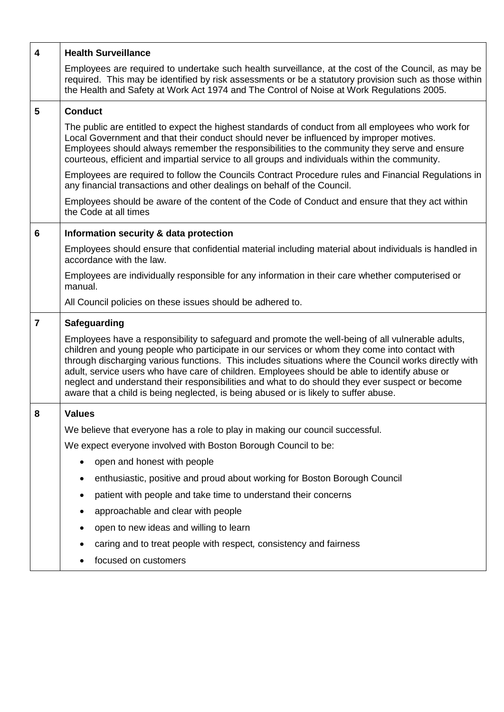| 4              | <b>Health Surveillance</b>                                                                                                                                                                                                                                                                                                                                                                                                                                                                                                                                                                              |  |  |  |
|----------------|---------------------------------------------------------------------------------------------------------------------------------------------------------------------------------------------------------------------------------------------------------------------------------------------------------------------------------------------------------------------------------------------------------------------------------------------------------------------------------------------------------------------------------------------------------------------------------------------------------|--|--|--|
|                | Employees are required to undertake such health surveillance, at the cost of the Council, as may be<br>required. This may be identified by risk assessments or be a statutory provision such as those within<br>the Health and Safety at Work Act 1974 and The Control of Noise at Work Regulations 2005.                                                                                                                                                                                                                                                                                               |  |  |  |
| 5              | <b>Conduct</b>                                                                                                                                                                                                                                                                                                                                                                                                                                                                                                                                                                                          |  |  |  |
|                | The public are entitled to expect the highest standards of conduct from all employees who work for<br>Local Government and that their conduct should never be influenced by improper motives.<br>Employees should always remember the responsibilities to the community they serve and ensure<br>courteous, efficient and impartial service to all groups and individuals within the community.                                                                                                                                                                                                         |  |  |  |
|                | Employees are required to follow the Councils Contract Procedure rules and Financial Regulations in<br>any financial transactions and other dealings on behalf of the Council.                                                                                                                                                                                                                                                                                                                                                                                                                          |  |  |  |
|                | Employees should be aware of the content of the Code of Conduct and ensure that they act within<br>the Code at all times                                                                                                                                                                                                                                                                                                                                                                                                                                                                                |  |  |  |
| 6              | Information security & data protection                                                                                                                                                                                                                                                                                                                                                                                                                                                                                                                                                                  |  |  |  |
|                | Employees should ensure that confidential material including material about individuals is handled in<br>accordance with the law.                                                                                                                                                                                                                                                                                                                                                                                                                                                                       |  |  |  |
|                | Employees are individually responsible for any information in their care whether computerised or<br>manual.                                                                                                                                                                                                                                                                                                                                                                                                                                                                                             |  |  |  |
|                | All Council policies on these issues should be adhered to.                                                                                                                                                                                                                                                                                                                                                                                                                                                                                                                                              |  |  |  |
| $\overline{7}$ | <b>Safeguarding</b>                                                                                                                                                                                                                                                                                                                                                                                                                                                                                                                                                                                     |  |  |  |
|                | Employees have a responsibility to safeguard and promote the well-being of all vulnerable adults,<br>children and young people who participate in our services or whom they come into contact with<br>through discharging various functions. This includes situations where the Council works directly with<br>adult, service users who have care of children. Employees should be able to identify abuse or<br>neglect and understand their responsibilities and what to do should they ever suspect or become<br>aware that a child is being neglected, is being abused or is likely to suffer abuse. |  |  |  |
| 8              | <b>Values</b>                                                                                                                                                                                                                                                                                                                                                                                                                                                                                                                                                                                           |  |  |  |
|                | We believe that everyone has a role to play in making our council successful.                                                                                                                                                                                                                                                                                                                                                                                                                                                                                                                           |  |  |  |
|                | We expect everyone involved with Boston Borough Council to be:                                                                                                                                                                                                                                                                                                                                                                                                                                                                                                                                          |  |  |  |
|                | open and honest with people<br>٠                                                                                                                                                                                                                                                                                                                                                                                                                                                                                                                                                                        |  |  |  |
|                | enthusiastic, positive and proud about working for Boston Borough Council<br>٠                                                                                                                                                                                                                                                                                                                                                                                                                                                                                                                          |  |  |  |
|                | patient with people and take time to understand their concerns<br>٠                                                                                                                                                                                                                                                                                                                                                                                                                                                                                                                                     |  |  |  |
|                | approachable and clear with people<br>٠                                                                                                                                                                                                                                                                                                                                                                                                                                                                                                                                                                 |  |  |  |
|                | open to new ideas and willing to learn                                                                                                                                                                                                                                                                                                                                                                                                                                                                                                                                                                  |  |  |  |
|                |                                                                                                                                                                                                                                                                                                                                                                                                                                                                                                                                                                                                         |  |  |  |
|                | caring and to treat people with respect, consistency and fairness<br>focused on customers                                                                                                                                                                                                                                                                                                                                                                                                                                                                                                               |  |  |  |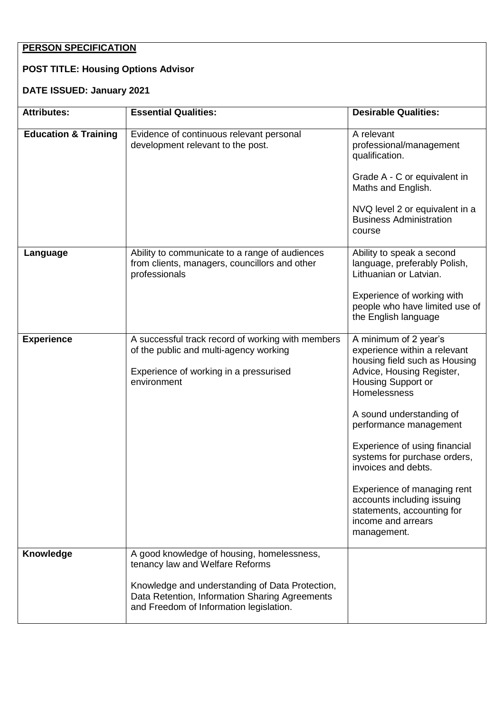# **PERSON SPECIFICATION**

# **POST TITLE: Housing Options Advisor**

# **DATE ISSUED: January 2021**

| <b>Attributes:</b>              | <b>Essential Qualities:</b>                                                                                                                                                                                                   | <b>Desirable Qualities:</b>                                                                                                                                                                                                                                                                                                                                                                                                             |
|---------------------------------|-------------------------------------------------------------------------------------------------------------------------------------------------------------------------------------------------------------------------------|-----------------------------------------------------------------------------------------------------------------------------------------------------------------------------------------------------------------------------------------------------------------------------------------------------------------------------------------------------------------------------------------------------------------------------------------|
| <b>Education &amp; Training</b> | Evidence of continuous relevant personal<br>development relevant to the post.                                                                                                                                                 | A relevant<br>professional/management<br>qualification.<br>Grade A - C or equivalent in<br>Maths and English.<br>NVQ level 2 or equivalent in a<br><b>Business Administration</b><br>course                                                                                                                                                                                                                                             |
| Language                        | Ability to communicate to a range of audiences<br>from clients, managers, councillors and other<br>professionals                                                                                                              | Ability to speak a second<br>language, preferably Polish,<br>Lithuanian or Latvian.<br>Experience of working with<br>people who have limited use of<br>the English language                                                                                                                                                                                                                                                             |
| <b>Experience</b>               | A successful track record of working with members<br>of the public and multi-agency working<br>Experience of working in a pressurised<br>environment                                                                          | A minimum of 2 year's<br>experience within a relevant<br>housing field such as Housing<br>Advice, Housing Register,<br>Housing Support or<br>Homelessness<br>A sound understanding of<br>performance management<br>Experience of using financial<br>systems for purchase orders,<br>invoices and debts.<br>Experience of managing rent<br>accounts including issuing<br>statements, accounting for<br>income and arrears<br>management. |
| Knowledge                       | A good knowledge of housing, homelessness,<br>tenancy law and Welfare Reforms<br>Knowledge and understanding of Data Protection,<br>Data Retention, Information Sharing Agreements<br>and Freedom of Information legislation. |                                                                                                                                                                                                                                                                                                                                                                                                                                         |